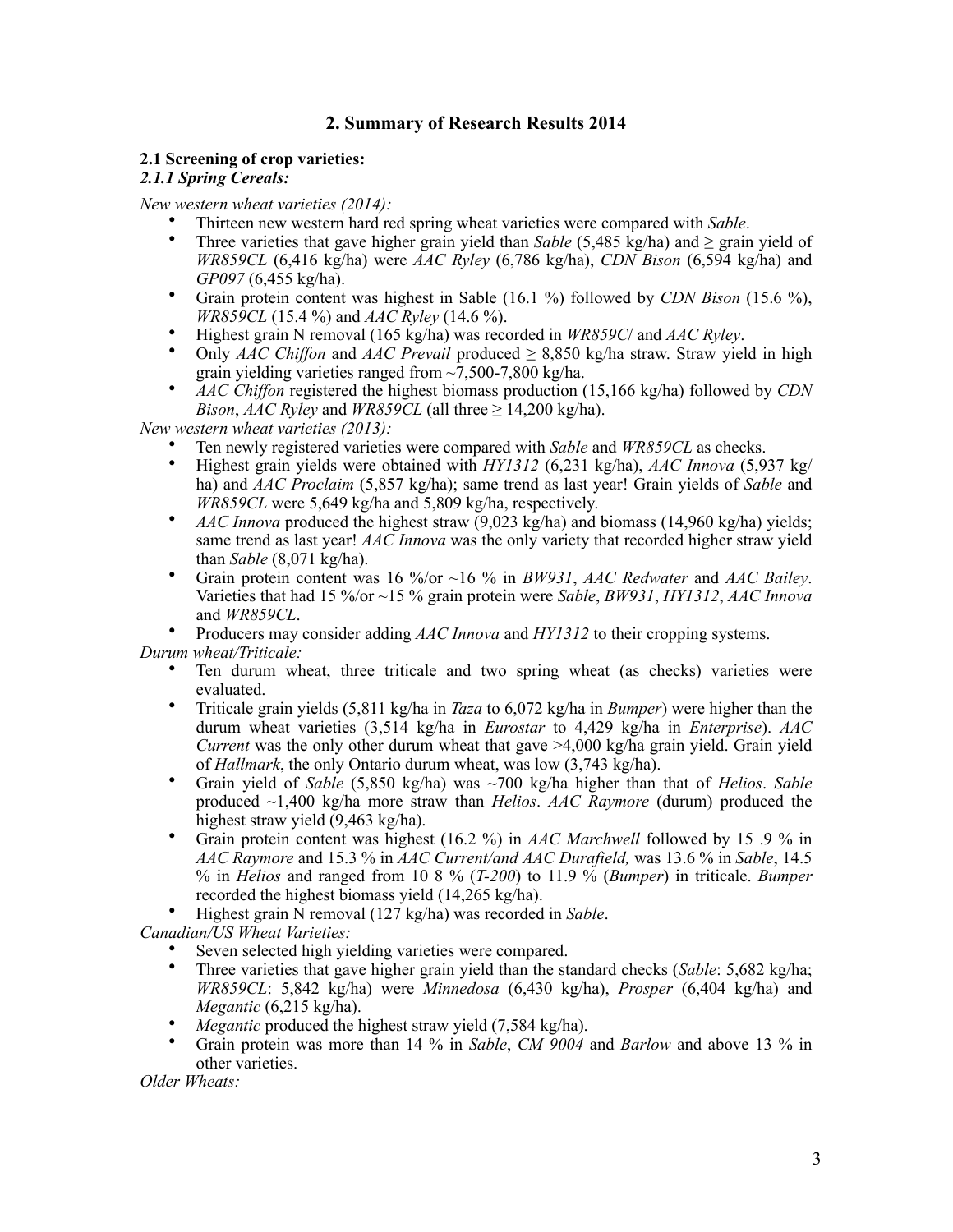# **2. Summary of Research Results 2014**

# **2.1 Screening of crop varieties:**

#### *2.1.1 Spring Cereals:*

*New western wheat varieties (2014):*

- Thirteen new western hard red spring wheat varieties were compared with *Sable*.
- Three varieties that gave higher grain yield than *Sable* (5,485 kg/ha) and ≥ grain yield of *WR859CL* (6,416 kg/ha) were *AAC Ryley* (6,786 kg/ha), *CDN Bison* (6,594 kg/ha) and *GP097* (6,455 kg/ha).
- Grain protein content was highest in Sable (16.1 %) followed by *CDN Bison* (15.6 %), *WR859CL* (15.4 %) and *AAC Ryley* (14.6 %).
- Highest grain N removal (165 kg/ha) was recorded in *WR859C*/ and *AAC Ryley*.
- Only *AAC Chiffon* and *AAC Prevail* produced ≥ 8,850 kg/ha straw. Straw yield in high grain yielding varieties ranged from ~7,500-7,800 kg/ha.
- *AAC Chiffon* registered the highest biomass production (15,166 kg/ha) followed by *CDN Bison, AAC Ryley* and *WR859CL* (all three  $\geq$  14,200 kg/ha).

*New western wheat varieties (2013):*

- Ten newly registered varieties were compared with *Sable* and *WR859CL* as checks.
- Highest grain yields were obtained with *HY1312* (6,231 kg/ha), *AAC Innova* (5,937 kg/ ha) and *AAC Proclaim* (5,857 kg/ha); same trend as last year! Grain yields of *Sable* and *WR859CL* were 5,649 kg/ha and 5,809 kg/ha, respectively.
- *AAC Innova* produced the highest straw (9,023 kg/ha) and biomass (14,960 kg/ha) yields; same trend as last year! *AAC Innova* was the only variety that recorded higher straw yield than *Sable* (8,071 kg/ha).
- Grain protein content was 16 %/or ~16 % in *BW931*, *AAC Redwater* and *AAC Bailey*. Varieties that had 15 %/or ~15 % grain protein were *Sable*, *BW931*, *HY1312*, *AAC Innova* and *WR859CL*.

• Producers may consider adding *AAC Innova* and *HY1312* to their cropping systems. *Durum wheat/Triticale:*

- Ten durum wheat, three triticale and two spring wheat (as checks) varieties were evaluated.
- Triticale grain yields (5,811 kg/ha in *Taza* to 6,072 kg/ha in *Bumper*) were higher than the durum wheat varieties (3,514 kg/ha in *Eurostar* to 4,429 kg/ha in *Enterprise*). *AAC Current* was the only other durum wheat that gave >4,000 kg/ha grain yield. Grain yield of *Hallmark*, the only Ontario durum wheat, was low (3,743 kg/ha).
- Grain yield of *Sable* (5,850 kg/ha) was ~700 kg/ha higher than that of *Helios*. *Sable* produced ~1,400 kg/ha more straw than *Helios*. *AAC Raymore* (durum) produced the highest straw yield (9,463 kg/ha).
- Grain protein content was highest (16.2 %) in *AAC Marchwell* followed by 15 .9 % in *AAC Raymore* and 15.3 % in *AAC Current/and AAC Durafield,* was 13.6 % in *Sable*, 14.5 % in *Helios* and ranged from 10 8 % (*T-200*) to 11.9 % (*Bumper*) in triticale. *Bumper* recorded the highest biomass yield (14,265 kg/ha).
- Highest grain N removal (127 kg/ha) was recorded in *Sable*.

*Canadian/US Wheat Varieties:* 

- Seven selected high yielding varieties were compared.
- Three varieties that gave higher grain yield than the standard checks (*Sable*: 5,682 kg/ha; *WR859CL*: 5,842 kg/ha) were *Minnedosa* (6,430 kg/ha), *Prosper* (6,404 kg/ha) and *Megantic* (6,215 kg/ha).
- *Megantic* produced the highest straw yield (7,584 kg/ha).
- Grain protein was more than 14 % in *Sable*, *CM 9004* and *Barlow* and above 13 % in other varieties.

*Older Wheats:*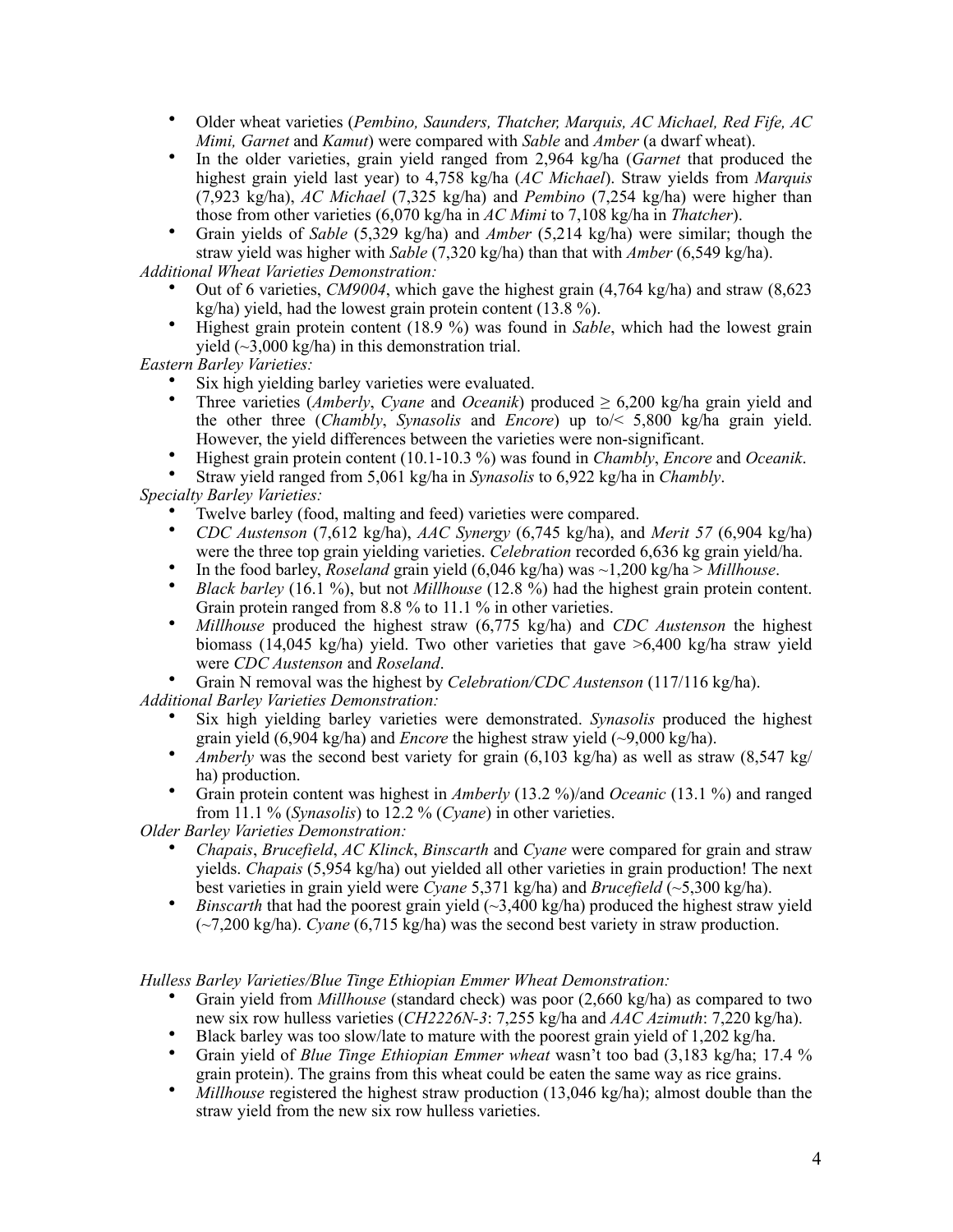- Older wheat varieties (*Pembino, Saunders, Thatcher, Marquis, AC Michael, Red Fife, AC Mimi, Garnet* and *Kamut*) were compared with *Sable* and *Amber* (a dwarf wheat).
- In the older varieties, grain yield ranged from 2,964 kg/ha (*Garnet* that produced the highest grain yield last year) to 4,758 kg/ha (*AC Michael*). Straw yields from *Marquis* (7,923 kg/ha), *AC Michael* (7,325 kg/ha) and *Pembino* (7,254 kg/ha) were higher than those from other varieties (6,070 kg/ha in *AC Mimi* to 7,108 kg/ha in *Thatcher*).
- Grain yields of *Sable* (5,329 kg/ha) and *Amber* (5,214 kg/ha) were similar; though the straw yield was higher with *Sable* (7,320 kg/ha) than that with *Amber* (6,549 kg/ha).

*Additional Wheat Varieties Demonstration:*

- Out of 6 varieties, *CM9004*, which gave the highest grain (4,764 kg/ha) and straw (8,623 kg/ha) yield, had the lowest grain protein content (13.8 %).
- Highest grain protein content (18.9 %) was found in *Sable*, which had the lowest grain yield  $(\sim3,000 \text{ kg/ha})$  in this demonstration trial.

*Eastern Barley Varieties:* 

- Six high yielding barley varieties were evaluated.
- Three varieties (*Amberly*, *Cyane* and *Oceanik*) produced ≥ 6,200 kg/ha grain yield and the other three (*Chambly*, *Synasolis* and *Encore*) up to/< 5,800 kg/ha grain yield. However, the yield differences between the varieties were non-significant.
- Highest grain protein content (10.1-10.3 %) was found in *Chambly*, *Encore* and *Oceanik*.
- Straw yield ranged from 5,061 kg/ha in *Synasolis* to 6,922 kg/ha in *Chambly*.

*Specialty Barley Varieties:*

- Twelve barley (food, malting and feed) varieties were compared.
- *CDC Austenson* (7,612 kg/ha), *AAC Synergy* (6,745 kg/ha), and *Merit 57* (6,904 kg/ha) were the three top grain yielding varieties. *Celebration* recorded 6,636 kg grain yield/ha.
- In the food barley, *Roseland* grain yield (6,046 kg/ha) was ~1,200 kg/ha > *Millhouse*.
- *Black barley* (16.1 %), but not *Millhouse* (12.8 %) had the highest grain protein content. Grain protein ranged from 8.8 % to 11.1 % in other varieties.
- *Millhouse* produced the highest straw (6,775 kg/ha) and *CDC Austenson* the highest biomass (14,045 kg/ha) yield. Two other varieties that gave >6,400 kg/ha straw yield were *CDC Austenson* and *Roseland*.
- Grain N removal was the highest by *Celebration/CDC Austenson* (117/116 kg/ha).

*Additional Barley Varieties Demonstration:*

- Six high yielding barley varieties were demonstrated. *Synasolis* produced the highest grain yield (6,904 kg/ha) and *Encore* the highest straw yield (~9,000 kg/ha).
- *Amberly* was the second best variety for grain (6,103 kg/ha) as well as straw (8,547 kg/ ha) production.
- Grain protein content was highest in *Amberly* (13.2 %)/and *Oceanic* (13.1 %) and ranged from 11.1 % (*Synasolis*) to 12.2 % (*Cyane*) in other varieties.

*Older Barley Varieties Demonstration:*

- *Chapais*, *Brucefield*, *AC Klinck*, *Binscarth* and *Cyane* were compared for grain and straw yields. *Chapais* (5,954 kg/ha) out yielded all other varieties in grain production! The next best varieties in grain yield were *Cyane* 5,371 kg/ha) and *Brucefield* (~5,300 kg/ha).
- *Binscarth* that had the poorest grain yield  $(\sim)3,400 \text{ kg/ha}$  produced the highest straw yield (~7,200 kg/ha). *Cyane* (6,715 kg/ha) was the second best variety in straw production.

*Hulless Barley Varieties/Blue Tinge Ethiopian Emmer Wheat Demonstration:*

- Grain yield from *Millhouse* (standard check) was poor (2,660 kg/ha) as compared to two new six row hulless varieties (*CH2226N-3*: 7,255 kg/ha and *AAC Azimuth*: 7,220 kg/ha).
- Black barley was too slow/late to mature with the poorest grain yield of 1,202 kg/ha.
- Grain yield of *Blue Tinge Ethiopian Emmer wheat* wasn't too bad (3,183 kg/ha; 17.4 % grain protein). The grains from this wheat could be eaten the same way as rice grains.
- *Millhouse* registered the highest straw production (13,046 kg/ha); almost double than the straw yield from the new six row hulless varieties.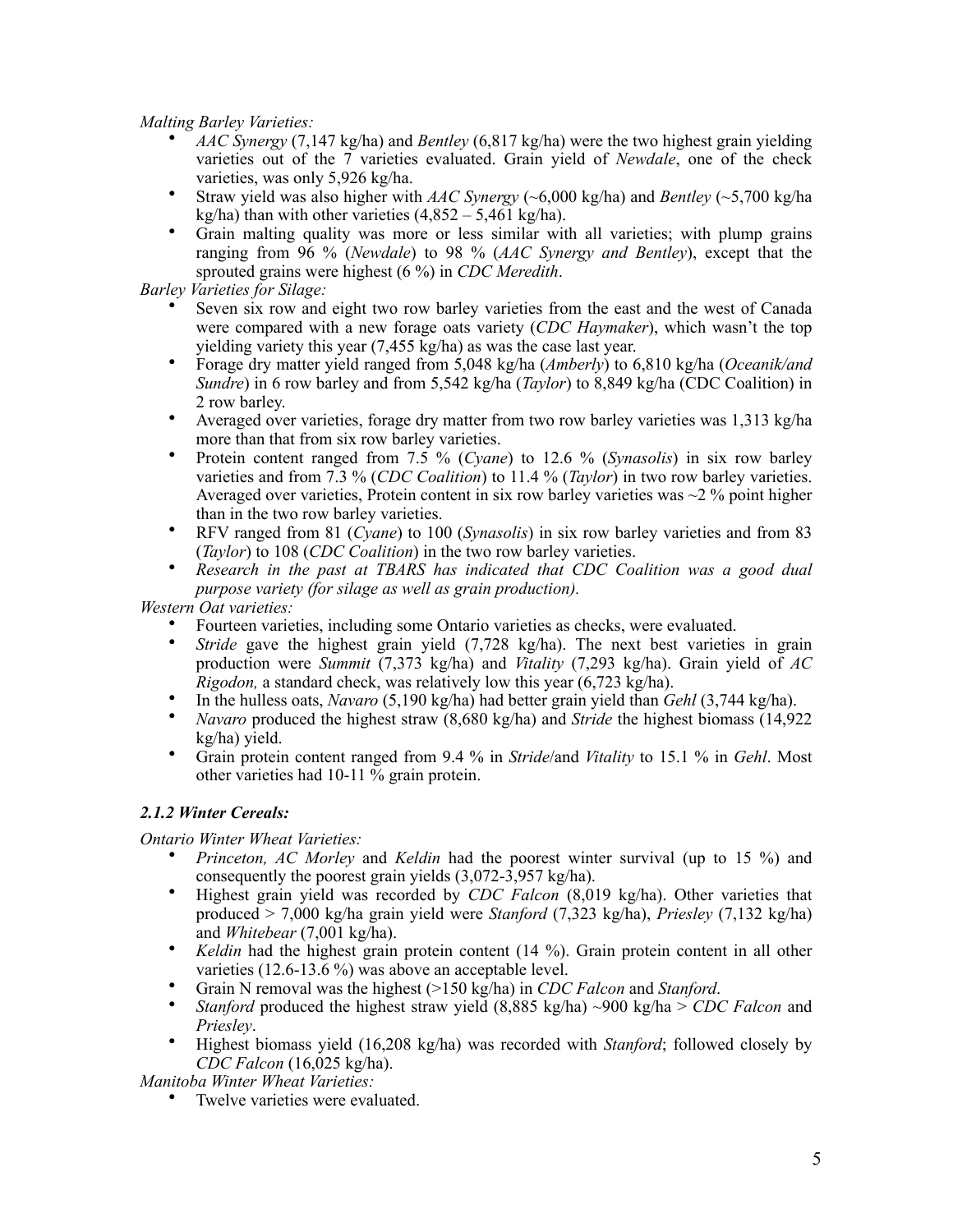*Malting Barley Varieties:*

- *AAC Synergy* (7,147 kg/ha) and *Bentley* (6,817 kg/ha) were the two highest grain yielding varieties out of the 7 varieties evaluated. Grain yield of *Newdale*, one of the check varieties, was only 5,926 kg/ha.
- Straw yield was also higher with *AAC Synergy* (~6,000 kg/ha) and *Bentley* (~5,700 kg/ha kg/ha) than with other varieties  $(4.852 - 5.461 \text{ kg/ha})$ .
- Grain malting quality was more or less similar with all varieties; with plump grains ranging from 96 % (*Newdale*) to 98 % (*AAC Synergy and Bentley*), except that the sprouted grains were highest (6 %) in *CDC Meredith*.

*Barley Varieties for Silage:* 

- Seven six row and eight two row barley varieties from the east and the west of Canada were compared with a new forage oats variety (*CDC Haymaker*), which wasn't the top yielding variety this year (7,455 kg/ha) as was the case last year.
- Forage dry matter yield ranged from 5,048 kg/ha (*Amberly*) to 6,810 kg/ha (*Oceanik/and Sundre*) in 6 row barley and from 5,542 kg/ha (*Taylor*) to 8,849 kg/ha (CDC Coalition) in 2 row barley.
- Averaged over varieties, forage dry matter from two row barley varieties was 1,313 kg/ha more than that from six row barley varieties.
- Protein content ranged from 7.5 % (*Cyane*) to 12.6 % (*Synasolis*) in six row barley varieties and from 7.3 % (*CDC Coalition*) to 11.4 % (*Taylor*) in two row barley varieties. Averaged over varieties, Protein content in six row barley varieties was  $\sim$ 2 % point higher than in the two row barley varieties.
- RFV ranged from 81 (*Cyane*) to 100 (*Synasolis*) in six row barley varieties and from 83 (*Taylor*) to 108 (*CDC Coalition*) in the two row barley varieties.
- *Research in the past at TBARS has indicated that CDC Coalition was a good dual purpose variety (for silage as well as grain production).*

*Western Oat varieties:*

- Fourteen varieties, including some Ontario varieties as checks, were evaluated.
- *Stride* gave the highest grain yield (7.728 kg/ha). The next best varieties in grain production were *Summit* (7,373 kg/ha) and *Vitality* (7,293 kg/ha). Grain yield of *AC Rigodon,* a standard check, was relatively low this year (6,723 kg/ha).
- In the hulless oats, *Navaro* (5,190 kg/ha) had better grain yield than *Gehl* (3,744 kg/ha).
- *Navaro* produced the highest straw (8,680 kg/ha) and *Stride* the highest biomass (14,922 kg/ha) yield.
- Grain protein content ranged from 9.4 % in *Stride*/and *Vitality* to 15.1 % in *Gehl*. Most other varieties had 10-11 % grain protein.

## *2.1.2 Winter Cereals:*

*Ontario Winter Wheat Varieties:*

- *Princeton, AC Morley* and *Keldin* had the poorest winter survival (up to 15 %) and consequently the poorest grain yields (3,072-3,957 kg/ha).
- Highest grain yield was recorded by *CDC Falcon* (8,019 kg/ha). Other varieties that produced > 7,000 kg/ha grain yield were *Stanford* (7,323 kg/ha), *Priesley* (7,132 kg/ha) and *Whitebear* (7,001 kg/ha).
- *Keldin* had the highest grain protein content (14 %). Grain protein content in all other varieties (12.6-13.6 %) was above an acceptable level.
- Grain N removal was the highest (>150 kg/ha) in *CDC Falcon* and *Stanford*.<br>• Stanford produced the highest straw vield (8.885 kg/ha) ~900 kg/ha > CDC
- *Stanford* produced the highest straw yield (8,885 kg/ha) ~900 kg/ha > *CDC Falcon* and *Priesley*.
- Highest biomass yield (16,208 kg/ha) was recorded with *Stanford*; followed closely by *CDC Falcon* (16,025 kg/ha).

*Manitoba Winter Wheat Varieties:*

• Twelve varieties were evaluated.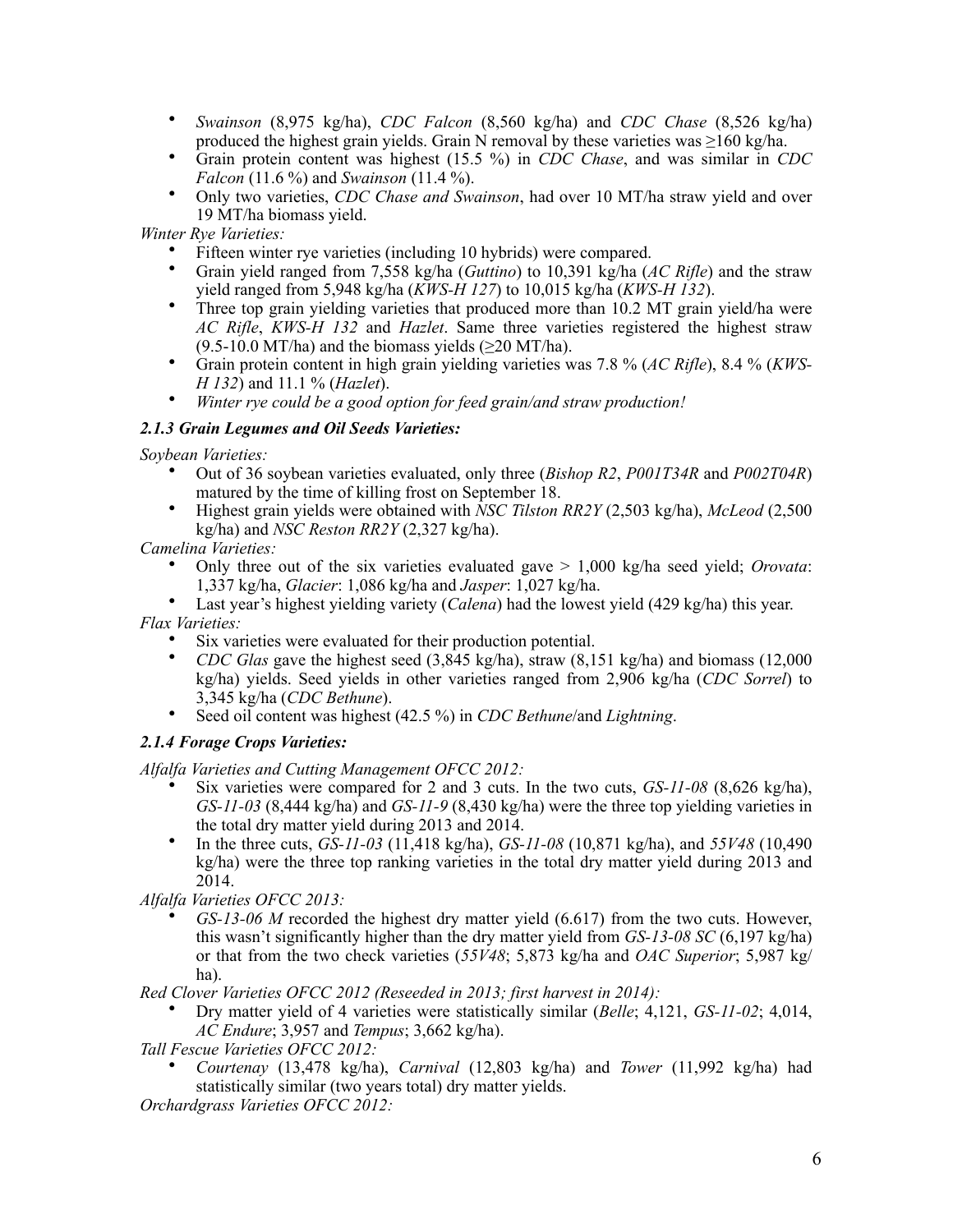- *Swainson* (8,975 kg/ha), *CDC Falcon* (8,560 kg/ha) and *CDC Chase* (8,526 kg/ha) produced the highest grain yields. Grain N removal by these varieties was  $\geq 160$  kg/ha.
- Grain protein content was highest (15.5 %) in *CDC Chase*, and was similar in *CDC Falcon* (11.6 %) and *Swainson* (11.4 %).
- Only two varieties, *CDC Chase and Swainson*, had over 10 MT/ha straw yield and over 19 MT/ha biomass yield.

*Winter Rye Varieties:*

- Fifteen winter rye varieties (including 10 hybrids) were compared.<br>• Grain vield ranged from 7.558 kg/ha (Guttino) to 10.391 kg/ha (d
- Grain yield ranged from 7,558 kg/ha (*Guttino*) to 10,391 kg/ha (*AC Rifle*) and the straw yield ranged from 5,948 kg/ha (*KWS-H 127*) to 10,015 kg/ha (*KWS-H 132*).
- Three top grain vielding varieties that produced more than 10.2 MT grain yield/ha were *AC Rifle*, *KWS-H 132* and *Hazlet*. Same three varieties registered the highest straw  $(9.5-10.0$  MT/ha) and the biomass yields ( $\geq$ 20 MT/ha).
- Grain protein content in high grain yielding varieties was 7.8 % (*AC Rifle*), 8.4 % (*KWS-H 132*) and 11.1 % (*Hazlet*).
- *Winter rye could be a good option for feed grain/and straw production!*

#### *2.1.3 Grain Legumes and Oil Seeds Varieties:*

*Soybean Varieties:* 

- Out of 36 soybean varieties evaluated, only three (*Bishop R2*, *P001T34R* and *P002T04R*) matured by the time of killing frost on September 18.
- Highest grain yields were obtained with *NSC Tilston RR2Y* (2,503 kg/ha), *McLeod* (2,500 kg/ha) and *NSC Reston RR2Y* (2,327 kg/ha).

*Camelina Varieties:*

- Only three out of the six varieties evaluated gave > 1,000 kg/ha seed yield; *Orovata*: 1,337 kg/ha, *Glacier*: 1,086 kg/ha and *Jasper*: 1,027 kg/ha.
- Last year's highest yielding variety (*Calena*) had the lowest yield (429 kg/ha) this year. *Flax Varieties:*
	- Six varieties were evaluated for their production potential.
	- *CDC Glas* gave the highest seed (3,845 kg/ha), straw (8,151 kg/ha) and biomass (12,000 kg/ha) yields. Seed yields in other varieties ranged from 2,906 kg/ha (*CDC Sorrel*) to 3,345 kg/ha (*CDC Bethune*).
		- Seed oil content was highest (42.5 %) in *CDC Bethune*/and *Lightning*.

## *2.1.4 Forage Crops Varieties:*

*Alfalfa Varieties and Cutting Management OFCC 2012:*

- Six varieties were compared for 2 and 3 cuts. In the two cuts, *GS-11-08* (8,626 kg/ha), *GS-11-03* (8,444 kg/ha) and *GS-11-9* (8,430 kg/ha) were the three top yielding varieties in the total dry matter yield during 2013 and 2014.
- In the three cuts, *GS-11-03* (11,418 kg/ha), *GS-11-08* (10,871 kg/ha), and *55V48* (10,490 kg/ha) were the three top ranking varieties in the total dry matter yield during 2013 and 2014.
- *Alfalfa Varieties OFCC 2013:*
	- *GS-13-06 M* recorded the highest dry matter yield (6.617) from the two cuts. However, this wasn't significantly higher than the dry matter yield from *GS-13-08 SC* (6,197 kg/ha) or that from the two check varieties (*55V48*; 5,873 kg/ha and *OAC Superior*; 5,987 kg/ ha).

*Red Clover Varieties OFCC 2012 (Reseeded in 2013; first harvest in 2014):*

• Dry matter yield of 4 varieties were statistically similar (*Belle*; 4,121, *GS-11-02*; 4,014, *AC Endure*; 3,957 and *Tempus*; 3,662 kg/ha).

*Tall Fescue Varieties OFCC 2012:*

• *Courtenay* (13,478 kg/ha), *Carnival* (12,803 kg/ha) and *Tower* (11,992 kg/ha) had statistically similar (two years total) dry matter yields.

*Orchardgrass Varieties OFCC 2012:*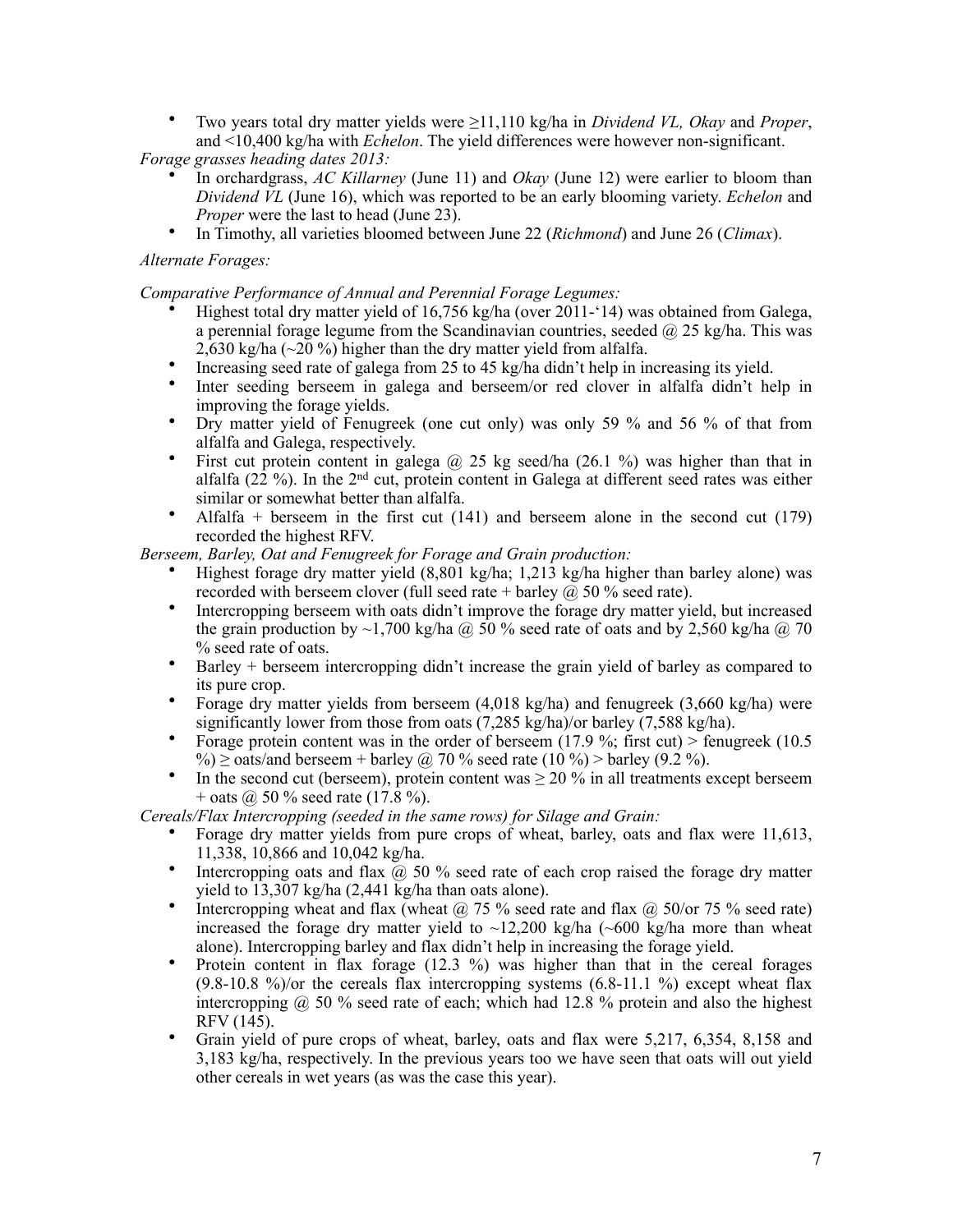• Two years total dry matter yields were ≥11,110 kg/ha in *Dividend VL, Okay* and *Proper*, and <10,400 kg/ha with *Echelon*. The yield differences were however non-significant.

*Forage grasses heading dates 2013:*

- In orchardgrass, *AC Killarney* (June 11) and *Okay* (June 12) were earlier to bloom than *Dividend VL* (June 16), which was reported to be an early blooming variety. *Echelon* and *Proper* were the last to head (June 23).
- In Timothy, all varieties bloomed between June 22 (*Richmond*) and June 26 (*Climax*).

### *Alternate Forages:*

*Comparative Performance of Annual and Perennial Forage Legumes:* 

- Highest total dry matter yield of 16,756 kg/ha (over 2011-'14) was obtained from Galega, a perennial forage legume from the Scandinavian countries, seeded  $\omega$  25 kg/ha. This was 2,630 kg/ha (~20 %) higher than the dry matter yield from alfalfa.
- Increasing seed rate of galega from 25 to 45 kg/ha didn't help in increasing its yield.
- Inter seeding berseem in galega and berseem/or red clover in alfalfa didn't help in improving the forage yields.
- Dry matter yield of Fenugreek (one cut only) was only 59 % and 56 % of that from alfalfa and Galega, respectively.
- First cut protein content in galega  $\omega$  25 kg seed/ha (26.1 %) was higher than that in alfalfa  $(22 \%)$ . In the  $2<sup>nd</sup>$  cut, protein content in Galega at different seed rates was either similar or somewhat better than alfalfa.
- Alfalfa + berseem in the first cut  $(141)$  and berseem alone in the second cut  $(179)$ recorded the highest RFV.

*Berseem, Barley, Oat and Fenugreek for Forage and Grain production:*

- Highest forage dry matter yield (8,801 kg/ha; 1,213 kg/ha higher than barley alone) was recorded with berseem clover (full seed rate + barley  $\overline{a}$ ) 50 % seed rate).
- Intercropping berseem with oats didn't improve the forage dry matter yield, but increased the grain production by  $\sim$ 1,700 kg/ha  $\omega$  50 % seed rate of oats and by 2,560 kg/ha  $\omega$ ,70 % seed rate of oats.
- Barley + berseem intercropping didn't increase the grain yield of barley as compared to its pure crop.
- Forage dry matter yields from berseem (4,018 kg/ha) and fenugreek (3,660 kg/ha) were significantly lower from those from oats (7,285 kg/ha)/or barley (7,588 kg/ha).
- Forage protein content was in the order of berseem (17.9 %; first cut) > fenugreek (10.5 %)  $\geq$  oats/and berseem + barley @ 70 % seed rate (10 %) > barley (9.2 %).
- In the second cut (berseem), protein content was  $\geq 20\%$  in all treatments except berseem  $+$  oats @ 50 % seed rate (17.8 %).

*Cereals/Flax Intercropping (seeded in the same rows) for Silage and Grain:*

- Forage dry matter yields from pure crops of wheat, barley, oats and flax were 11,613, 11,338, 10,866 and 10,042 kg/ha.
- Intercropping oats and flax  $\overline{a}$  50 % seed rate of each crop raised the forage dry matter yield to  $13,307$  kg/ha  $(2,441)$  kg/ha than oats alone).
- Intercropping wheat and flax (wheat  $\omega$  75 % seed rate and flax  $\omega$  50/or 75 % seed rate) increased the forage dry matter yield to  $\sim$ 12,200 kg/ha ( $\sim$ 600 kg/ha more than wheat alone). Intercropping barley and flax didn't help in increasing the forage yield.
- Protein content in flax forage (12.3 %) was higher than that in the cereal forages  $(9.8-10.8 \%)$  or the cereals flax intercropping systems  $(6.8-11.1 \%)$  except wheat flax intercropping  $\omega$  50 % seed rate of each; which had 12.8 % protein and also the highest RFV (145).
- Grain yield of pure crops of wheat, barley, oats and flax were 5,217, 6,354, 8,158 and 3,183 kg/ha, respectively. In the previous years too we have seen that oats will out yield other cereals in wet years (as was the case this year).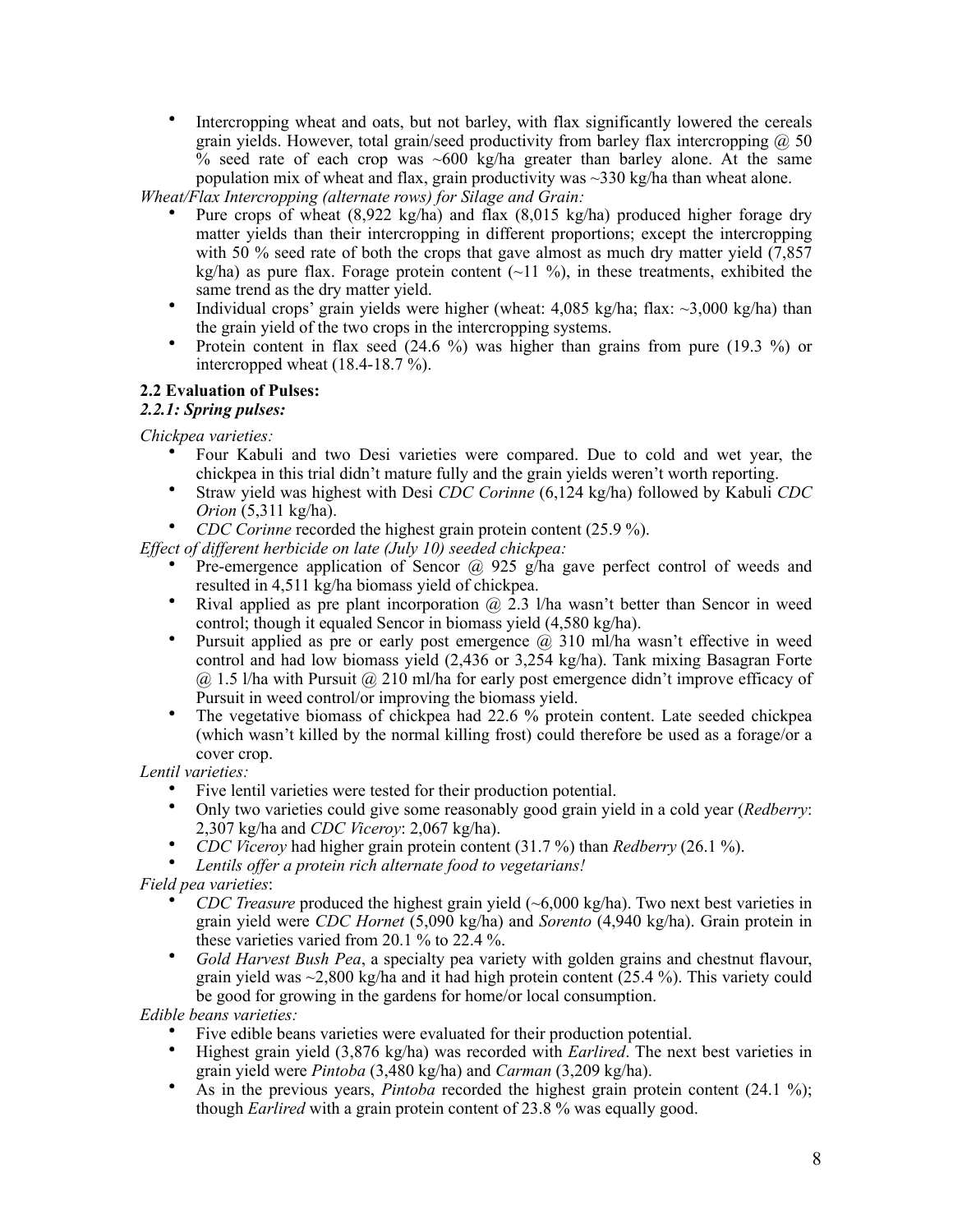• Intercropping wheat and oats, but not barley, with flax significantly lowered the cereals grain yields. However, total grain/seed productivity from barley flax intercropping  $\omega$  50  $\%$  seed rate of each crop was ~600 kg/ha greater than barley alone. At the same population mix of wheat and flax, grain productivity was  $\sim$ 330 kg/ha than wheat alone.

*Wheat/Flax Intercropping (alternate rows) for Silage and Grain:*

- Pure crops of wheat  $(8.922 \text{ kg/ha})$  and flax  $(8.015 \text{ kg/ha})$  produced higher forage dry matter yields than their intercropping in different proportions; except the intercropping with 50 % seed rate of both the crops that gave almost as much dry matter yield  $(7.857)$ kg/ha) as pure flax. Forage protein content  $(-11 \text{ %})$ , in these treatments, exhibited the same trend as the dry matter yield.
- Individual crops' grain yields were higher (wheat:  $4.085 \text{ kg/ha}$ ; flax:  $\sim 3.000 \text{ kg/ha}$ ) than the grain yield of the two crops in the intercropping systems.
- Protein content in flax seed  $(24.6 \%)$  was higher than grains from pure  $(19.3 \%)$  or intercropped wheat  $(18.4-18.7\%)$ .

#### **2.2 Evaluation of Pulses:**

#### *2.2.1: Spring pulses:*

*Chickpea varieties:* 

- Four Kabuli and two Desi varieties were compared. Due to cold and wet year, the chickpea in this trial didn't mature fully and the grain yields weren't worth reporting.
- Straw yield was highest with Desi *CDC Corinne* (6,124 kg/ha) followed by Kabuli *CDC Orion* (5,311 kg/ha).
- *CDC Corinne* recorded the highest grain protein content (25.9 %).

*Effect of different herbicide on late (July 10) seeded chickpea:*

- Pre-emergence application of Sencor  $\omega$  925 g/ha gave perfect control of weeds and resulted in 4,511 kg/ha biomass yield of chickpea.
- Rival applied as pre plant incorporation  $\omega$  2.3 l/ha wasn't better than Sencor in weed control; though it equaled Sencor in biomass yield (4,580 kg/ha).
- Pursuit applied as pre or early post emergence  $(a)$  310 ml/ha wasn't effective in weed control and had low biomass yield (2,436 or 3,254 kg/ha). Tank mixing Basagran Forte  $(a)$  1.5 l/ha with Pursuit  $(a)$  210 ml/ha for early post emergence didn't improve efficacy of Pursuit in weed control/or improving the biomass yield.
- The vegetative biomass of chickpea had 22.6 % protein content. Late seeded chickpea (which wasn't killed by the normal killing frost) could therefore be used as a forage/or a cover crop.

*Lentil varieties:*

- Five lentil varieties were tested for their production potential.
- Only two varieties could give some reasonably good grain yield in a cold year (*Redberry*: 2,307 kg/ha and *CDC Viceroy*: 2,067 kg/ha).
- *CDC Viceroy* had higher grain protein content (31.7 %) than *Redberry* (26.1 %).
- *Lentils offer a protein rich alternate food to vegetarians!*

*Field pea varieties*:

- *CDC Treasure* produced the highest grain yield (~6,000 kg/ha). Two next best varieties in grain yield were *CDC Hornet* (5,090 kg/ha) and *Sorento* (4,940 kg/ha). Grain protein in these varieties varied from 20.1 % to 22.4 %.
- *Gold Harvest Bush Pea*, a specialty pea variety with golden grains and chestnut flavour, grain yield was  $\sim$ 2,800 kg/ha and it had high protein content (25.4 %). This variety could be good for growing in the gardens for home/or local consumption.

*Edible beans varieties:* 

- Five edible beans varieties were evaluated for their production potential.
- Highest grain yield (3,876 kg/ha) was recorded with *Earlired*. The next best varieties in grain yield were *Pintoba* (3,480 kg/ha) and *Carman* (3,209 kg/ha).
- As in the previous years, *Pintoba* recorded the highest grain protein content (24.1 %); though *Earlired* with a grain protein content of 23.8 % was equally good.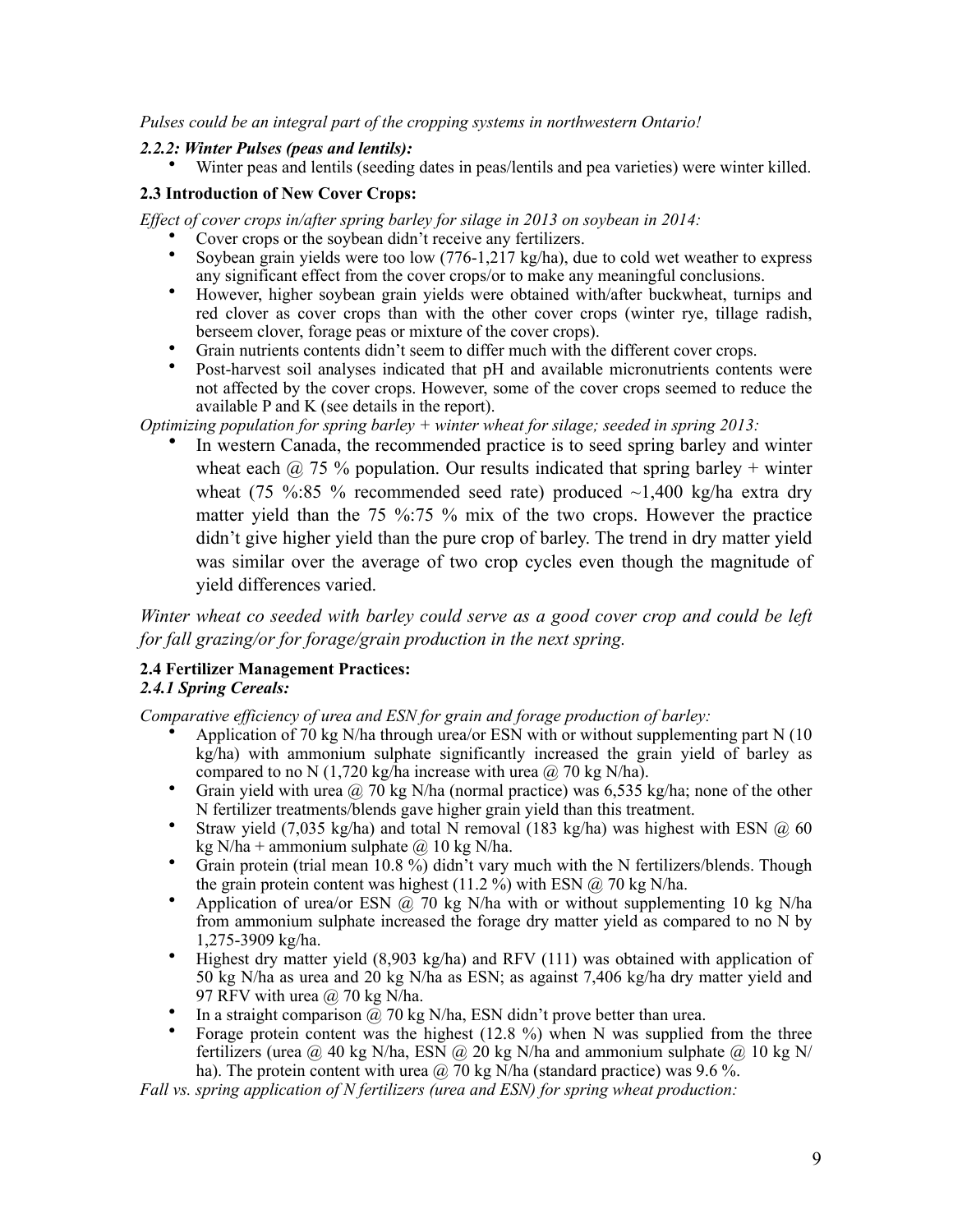*Pulses could be an integral part of the cropping systems in northwestern Ontario!*

### *2.2.2: Winter Pulses (peas and lentils):*

• Winter peas and lentils (seeding dates in peas/lentils and pea varieties) were winter killed.

# **2.3 Introduction of New Cover Crops:**

*Effect of cover crops in/after spring barley for silage in 2013 on soybean in 2014:*

- Cover crops or the soybean didn't receive any fertilizers.
- Soybean grain yields were too low (776-1,217 kg/ha), due to cold wet weather to express any significant effect from the cover crops/or to make any meaningful conclusions.
- However, higher soybean grain yields were obtained with/after buckwheat, turnips and red clover as cover crops than with the other cover crops (winter rye, tillage radish, berseem clover, forage peas or mixture of the cover crops).
- Grain nutrients contents didn't seem to differ much with the different cover crops.
- Post-harvest soil analyses indicated that pH and available micronutrients contents were not affected by the cover crops. However, some of the cover crops seemed to reduce the available P and K (see details in the report).

*Optimizing population for spring barley + winter wheat for silage; seeded in spring 2013:*

In western Canada, the recommended practice is to seed spring barley and winter wheat each  $\omega$  75 % population. Our results indicated that spring barley + winter wheat (75 %:85 % recommended seed rate) produced  $\sim$ 1,400 kg/ha extra dry matter yield than the 75 %:75 % mix of the two crops. However the practice didn't give higher yield than the pure crop of barley. The trend in dry matter yield was similar over the average of two crop cycles even though the magnitude of yield differences varied.

*Winter wheat co seeded with barley could serve as a good cover crop and could be left for fall grazing/or for forage/grain production in the next spring.*

# **2.4 Fertilizer Management Practices:**

## *2.4.1 Spring Cereals:*

*Comparative efficiency of urea and ESN for grain and forage production of barley:*

- Application of 70 kg N/ha through urea/or ESN with or without supplementing part N  $(10$ kg/ha) with ammonium sulphate significantly increased the grain yield of barley as compared to no N (1,720 kg/ha increase with urea  $\omega$ , 70 kg N/ha).
- Grain yield with urea  $\omega$  70 kg N/ha (normal practice) was 6,535 kg/ha; none of the other N fertilizer treatments/blends gave higher grain yield than this treatment.
- Straw yield  $(7.035 \text{ kg/ha})$  and total N removal  $(183 \text{ kg/ha})$  was highest with ESN  $(0.60 \text{ m})$ kg N/ha + ammonium sulphate  $\omega$  10 kg N/ha.
- Grain protein (trial mean  $\overline{10.8\%}$ ) didn't vary much with the N fertilizers/blends. Though the grain protein content was highest (11.2 %) with ESN  $\omega$  70 kg N/ha.
- Application of urea/or ESN  $\omega$  70 kg N/ha with or without supplementing 10 kg N/ha from ammonium sulphate increased the forage dry matter yield as compared to no N by 1,275-3909 kg/ha.
- Highest dry matter yield (8,903 kg/ha) and RFV (111) was obtained with application of 50 kg N/ha as urea and 20 kg N/ha as ESN; as against 7,406 kg/ha dry matter yield and 97 RFV with urea  $\omega$  70 kg N/ha.
- In a straight comparison  $\omega$  70 kg N/ha, ESN didn't prove better than urea.
- Forage protein content was the highest  $(12.8 \%)$  when N was supplied from the three fertilizers (urea  $@$  40 kg N/ha, ESN  $@$  20 kg N/ha and ammonium sulphate  $@$  10 kg N/ ha). The protein content with urea  $\omega$  70 kg N/ha (standard practice) was 9.6 %.

*Fall vs. spring application of N fertilizers (urea and ESN) for spring wheat production:*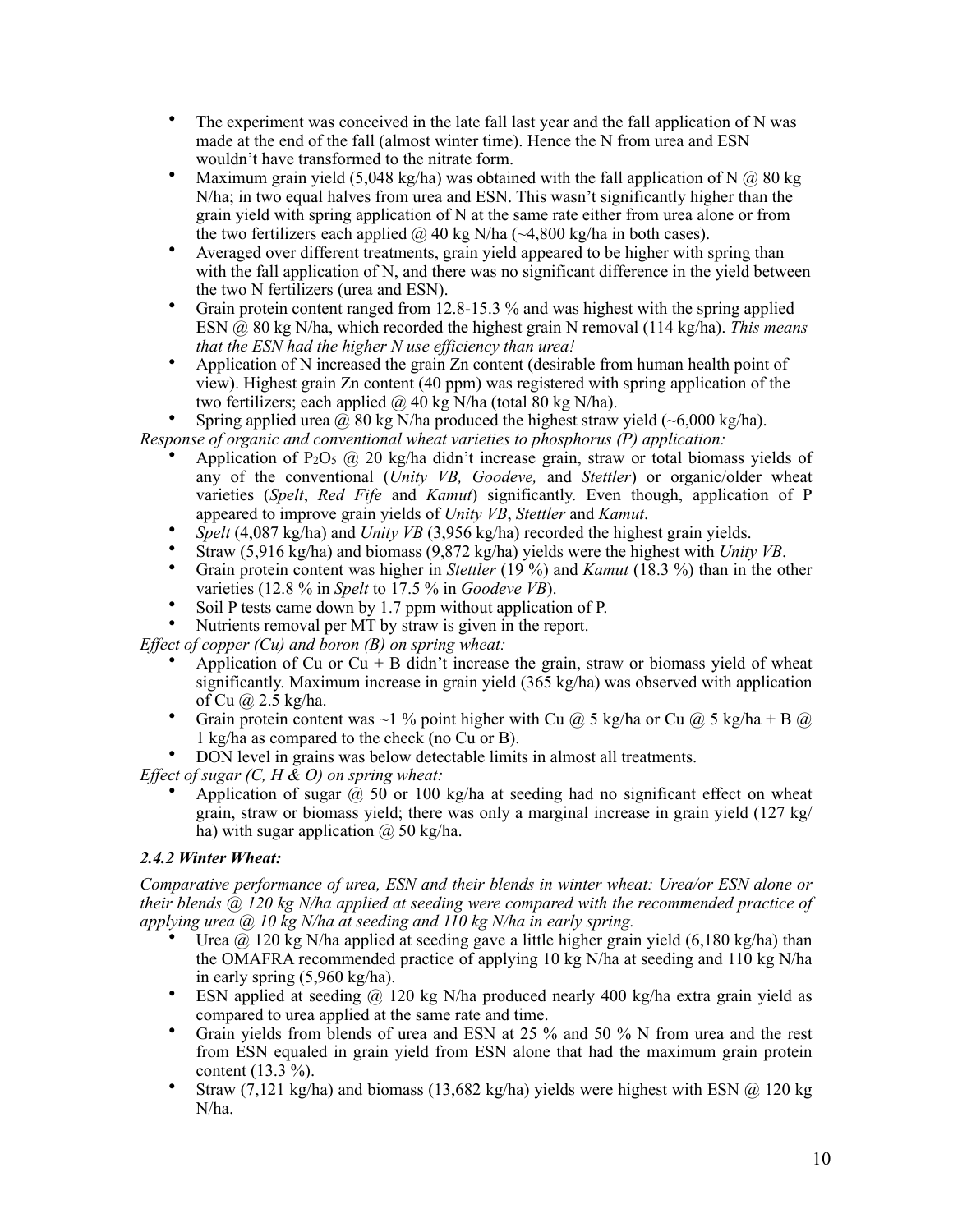- The experiment was conceived in the late fall last year and the fall application of N was made at the end of the fall (almost winter time). Hence the N from urea and ESN wouldn't have transformed to the nitrate form.
- Maximum grain yield (5,048 kg/ha) was obtained with the fall application of N  $\omega$  80 kg N/ha; in two equal halves from urea and ESN. This wasn't significantly higher than the grain yield with spring application of N at the same rate either from urea alone or from the two fertilizers each applied  $\omega$  40 kg N/ha ( $\sim$ 4,800 kg/ha in both cases).
- Averaged over different treatments, grain yield appeared to be higher with spring than with the fall application of N, and there was no significant difference in the yield between the two N fertilizers (urea and ESN).
- Grain protein content ranged from 12.8-15.3 % and was highest with the spring applied ESN @ 80 kg N/ha, which recorded the highest grain N removal (114 kg/ha). *This means that the ESN had the higher N use efficiency than urea!*
- Application of N increased the grain Zn content (desirable from human health point of view). Highest grain Zn content (40 ppm) was registered with spring application of the two fertilizers; each applied  $\omega$  40 kg N/ha (total 80 kg N/ha).
- Spring applied urea  $\hat{\omega}$  80 kg N/ha produced the highest straw yield (~6,000 kg/ha).

*Response of organic and conventional wheat varieties to phosphorus (P) application:*

- Application of P<sub>2</sub>O<sub>5</sub> @ 20 kg/ha didn't increase grain, straw or total biomass yields of any of the conventional (*Unity VB, Goodeve,* and *Stettler*) or organic/older wheat varieties (*Spelt*, *Red Fife* and *Kamut*) significantly. Even though, application of P appeared to improve grain yields of *Unity VB*, *Stettler* and *Kamut*.
- *Spelt* (4,087 kg/ha) and *Unity VB* (3,956 kg/ha) recorded the highest grain yields.
- Straw (5,916 kg/ha) and biomass (9,872 kg/ha) yields were the highest with *Unity VB*.
- Grain protein content was higher in *Stettler* (19 %) and *Kamut* (18.3 %) than in the other varieties (12.8 % in *Spelt* to 17.5 % in *Goodeve VB*).
- Soil P tests came down by 1.7 ppm without application of P.
- Nutrients removal per MT by straw is given in the report.

*Effect of copper (Cu) and boron (B) on spring wheat:*

- Application of Cu or  $Cu + B$  didn't increase the grain, straw or biomass yield of wheat significantly. Maximum increase in grain yield  $(365 \text{ kg/ha})$  was observed with application of Cu @ 2.5 kg/ha.
- Grain protein content was ~1 % point higher with Cu  $(a)$  5 kg/ha or Cu  $(a)$  5 kg/ha + B  $(a)$ 1 kg/ha as compared to the check (no Cu or B).
- DON level in grains was below detectable limits in almost all treatments.

*Effect of sugar (C, H & O) on spring wheat:*

Application of sugar  $\omega$  50 or 100 kg/ha at seeding had no significant effect on wheat grain, straw or biomass yield; there was only a marginal increase in grain yield  $(127 \text{ kg})$ ha) with sugar application  $\omega$  50 kg/ha.

# *2.4.2 Winter Wheat:*

*Comparative performance of urea, ESN and their blends in winter wheat: Urea/or ESN alone or their blends @ 120 kg N/ha applied at seeding were compared with the recommended practice of applying urea @ 10 kg N/ha at seeding and 110 kg N/ha in early spring.*

- Urea  $\omega$  120 kg N/ha applied at seeding gave a little higher grain yield (6,180 kg/ha) than the OMAFRA recommended practice of applying 10 kg N/ha at seeding and 110 kg N/ha in early spring (5,960 kg/ha).
- ESN applied at seeding @ 120 kg N/ha produced nearly 400 kg/ha extra grain yield as compared to urea applied at the same rate and time.
- Grain yields from blends of urea and ESN at 25 % and 50 % N from urea and the rest from ESN equaled in grain yield from ESN alone that had the maximum grain protein content (13.3 %).
- Straw  $(7,121 \text{ kg/ha})$  and biomass  $(13,682 \text{ kg/ha})$  yields were highest with ESN  $(20 \text{ kg})$ N/ha.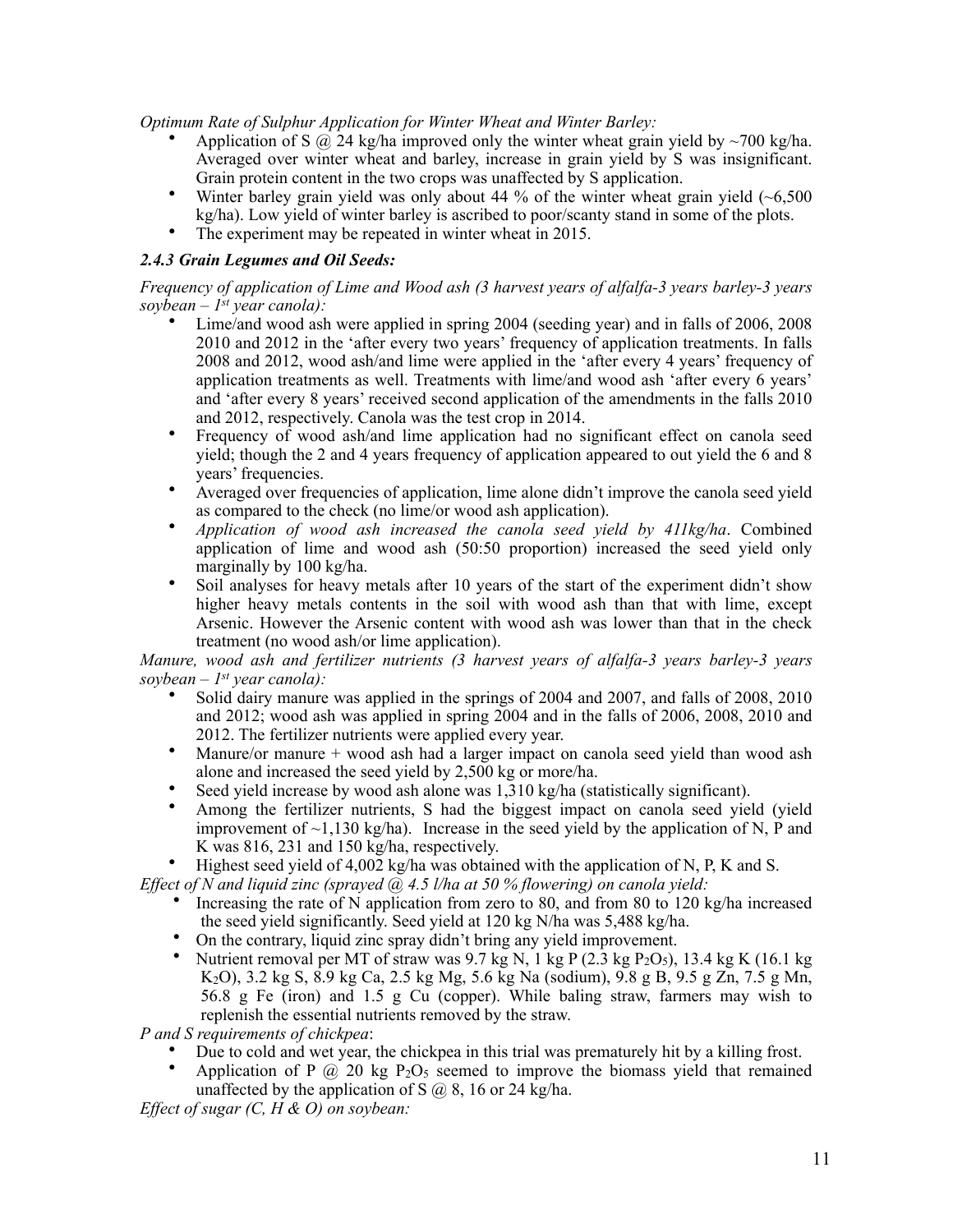*Optimum Rate of Sulphur Application for Winter Wheat and Winter Barley:*

- Application of S  $\hat{\omega}$  24 kg/ha improved only the winter wheat grain yield by ~700 kg/ha. Averaged over winter wheat and barley, increase in grain yield by S was insignificant. Grain protein content in the two crops was unaffected by S application.
- Winter barley grain yield was only about 44 % of the winter wheat grain yield  $(-6.500)$ kg/ha). Low yield of winter barley is ascribed to poor/scanty stand in some of the plots.
- The experiment may be repeated in winter wheat in 2015.

## *2.4.3 Grain Legumes and Oil Seeds:*

*Frequency of application of Lime and Wood ash (3 harvest years of alfalfa-3 years barley-3 years soybean – 1st year canola):*

- Lime/and wood ash were applied in spring 2004 (seeding year) and in falls of 2006, 2008 2010 and 2012 in the 'after every two years' frequency of application treatments. In falls 2008 and 2012, wood ash/and lime were applied in the 'after every 4 years' frequency of application treatments as well. Treatments with lime/and wood ash 'after every 6 years' and 'after every 8 years' received second application of the amendments in the falls 2010 and 2012, respectively. Canola was the test crop in 2014.
- Frequency of wood ash/and lime application had no significant effect on canola seed yield; though the 2 and 4 years frequency of application appeared to out yield the 6 and 8 years' frequencies.
- Averaged over frequencies of application, lime alone didn't improve the canola seed yield as compared to the check (no lime/or wood ash application).
- *Application of wood ash increased the canola seed yield by 411kg/ha*. Combined application of lime and wood ash (50:50 proportion) increased the seed yield only marginally by 100 kg/ha.
- Soil analyses for heavy metals after 10 years of the start of the experiment didn't show higher heavy metals contents in the soil with wood ash than that with lime, except Arsenic. However the Arsenic content with wood ash was lower than that in the check treatment (no wood ash/or lime application).

*Manure, wood ash and fertilizer nutrients (3 harvest years of alfalfa-3 years barley-3 years soybean – 1st year canola):* 

- Solid dairy manure was applied in the springs of 2004 and 2007, and falls of 2008, 2010 and 2012; wood ash was applied in spring 2004 and in the falls of 2006, 2008, 2010 and 2012. The fertilizer nutrients were applied every year.
- Manure/or manure + wood ash had a larger impact on canola seed yield than wood ash alone and increased the seed yield by 2,500 kg or more/ha.
- Seed yield increase by wood ash alone was 1,310 kg/ha (statistically significant).
- Among the fertilizer nutrients, S had the biggest impact on canola seed yield (yield improvement of  $\sim$ 1,130 kg/ha). Increase in the seed yield by the application of N, P and K was 816, 231 and 150 kg/ha, respectively.
- Highest seed yield of 4,002 kg/ha was obtained with the application of N, P, K and S.

*Effect of N and liquid zinc (sprayed @ 4.5 l/ha at 50 % flowering) on canola yield:*

- Increasing the rate of N application from zero to 80, and from 80 to 120 kg/ha increased the seed yield significantly. Seed yield at 120 kg N/ha was 5,488 kg/ha.
- On the contrary, liquid zinc spray didn't bring any yield improvement.
- Nutrient removal per MT of straw was  $9.7$  kg N, 1 kg P ( $2.\overline{3}$  kg P<sub>2</sub>O<sub>5</sub>), 13.4 kg K (16.1 kg K2O), 3.2 kg S, 8.9 kg Ca, 2.5 kg Mg, 5.6 kg Na (sodium), 9.8 g B, 9.5 g Zn, 7.5 g Mn, 56.8 g Fe (iron) and 1.5 g Cu (copper). While baling straw, farmers may wish to replenish the essential nutrients removed by the straw.

*P and S requirements of chickpea*:

- Due to cold and wet year, the chickpea in this trial was prematurely hit by a killing frost.
- Application of P  $\omega$  20 kg P<sub>2</sub>O<sub>5</sub> seemed to improve the biomass yield that remained unaffected by the application of S  $\omega$  8, 16 or 24 kg/ha.

*Effect of sugar (C, H & O) on soybean:*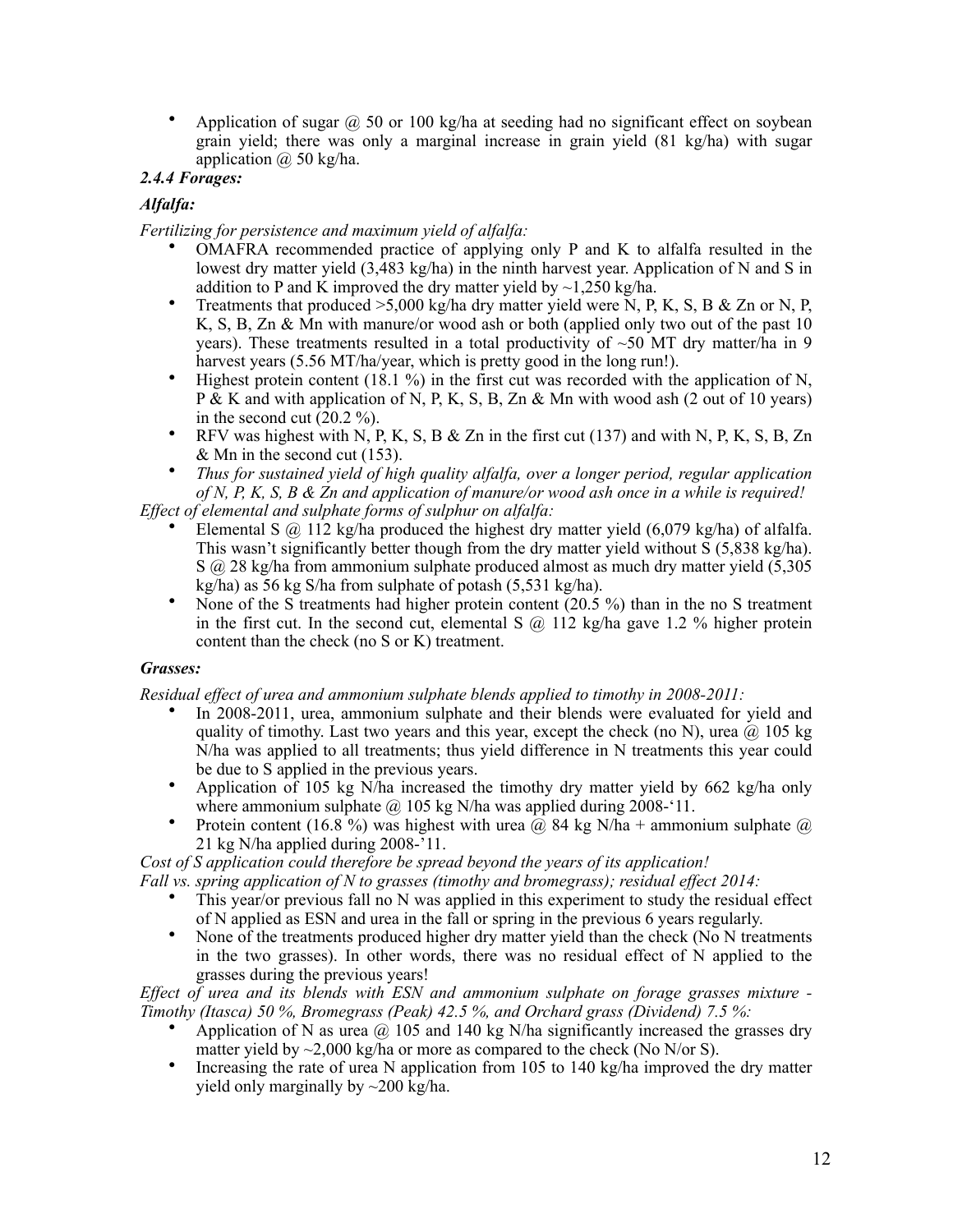• Application of sugar  $\omega$  50 or 100 kg/ha at seeding had no significant effect on soybean grain yield; there was only a marginal increase in grain yield (81 kg/ha) with sugar application  $\omega$  50 kg/ha.

# *2.4.4 Forages:*

# *Alfalfa:*

*Fertilizing for persistence and maximum yield of alfalfa:*

- OMAFRA recommended practice of applying only P and K to alfalfa resulted in the lowest dry matter yield (3,483 kg/ha) in the ninth harvest year. Application of N and S in addition to P and K improved the dry matter yield by  $\sim$ 1,250 kg/ha.
- Treatments that produced  $>5,000$  kg/ha dry matter yield were N, P, K, S, B & Zn or N, P, K, S, B, Zn & Mn with manure/or wood ash or both (applied only two out of the past 10 years). These treatments resulted in a total productivity of  $~50$  MT dry matter/ha in 9 harvest years (5.56 MT/ha/year, which is pretty good in the long run!).
- Highest protein content (18.1 %) in the first cut was recorded with the application of N, P & K and with application of N, P, K, S, B, Zn & Mn with wood ash (2 out of 10 years) in the second cut  $(20.2 \%)$ .
- RFV was highest with N, P, K, S, B & Zn in the first cut  $(137)$  and with N, P, K, S, B, Zn & Mn in the second cut (153).
- *Thus for sustained yield of high quality alfalfa, over a longer period, regular application of N, P, K, S, B & Zn and application of manure/or wood ash once in a while is required!*

*Effect of elemental and sulphate forms of sulphur on alfalfa:*

- Elemental S  $\omega$  112 kg/ha produced the highest dry matter yield (6,079 kg/ha) of alfalfa. This wasn't significantly better though from the dry matter yield without S (5,838 kg/ha). S @ 28 kg/ha from ammonium sulphate produced almost as much dry matter yield (5,305 kg/ha) as 56 kg S/ha from sulphate of potash (5,531 kg/ha).
- None of the S treatments had higher protein content (20.5 %) than in the no S treatment in the first cut. In the second cut, elemental S  $\omega$  112 kg/ha gave 1.2 % higher protein content than the check (no S or K) treatment.

#### *Grasses:*

*Residual effect of urea and ammonium sulphate blends applied to timothy in 2008-2011:* 

- In 2008-2011, urea, ammonium sulphate and their blends were evaluated for yield and quality of timothy. Last two years and this year, except the check (no N), urea  $\omega$  105 kg N/ha was applied to all treatments; thus yield difference in N treatments this year could be due to S applied in the previous years.
- Application of 105 kg N/ha increased the timothy dry matter yield by 662 kg/ha only where ammonium sulphate  $\omega$  105 kg N/ha was applied during 2008-'11.
- Protein content (16.8%) was highest with urea  $\hat{a}$ , 84 kg N/ha + ammonium sulphate  $\hat{a}$ 21 kg N/ha applied during 2008-'11.

*Cost of S application could therefore be spread beyond the years of its application!*

*Fall vs. spring application of N to grasses (timothy and bromegrass); residual effect 2014:* 

- This year/or previous fall no N was applied in this experiment to study the residual effect of N applied as ESN and urea in the fall or spring in the previous 6 years regularly.
- None of the treatments produced higher dry matter yield than the check (No N treatments in the two grasses). In other words, there was no residual effect of  $N$  applied to the grasses during the previous years!

*Effect of urea and its blends with ESN and ammonium sulphate on forage grasses mixture - Timothy (Itasca) 50 %, Bromegrass (Peak) 42.5 %, and Orchard grass (Dividend) 7.5 %:*

- Application of N as urea  $\hat{\omega}$  105 and 140 kg N/ha significantly increased the grasses dry matter yield by  $\sim$ 2,000 kg/ha or more as compared to the check (No N/or S).
- Increasing the rate of urea N application from 105 to 140 kg/ha improved the dry matter yield only marginally by  $\sim$  200 kg/ha.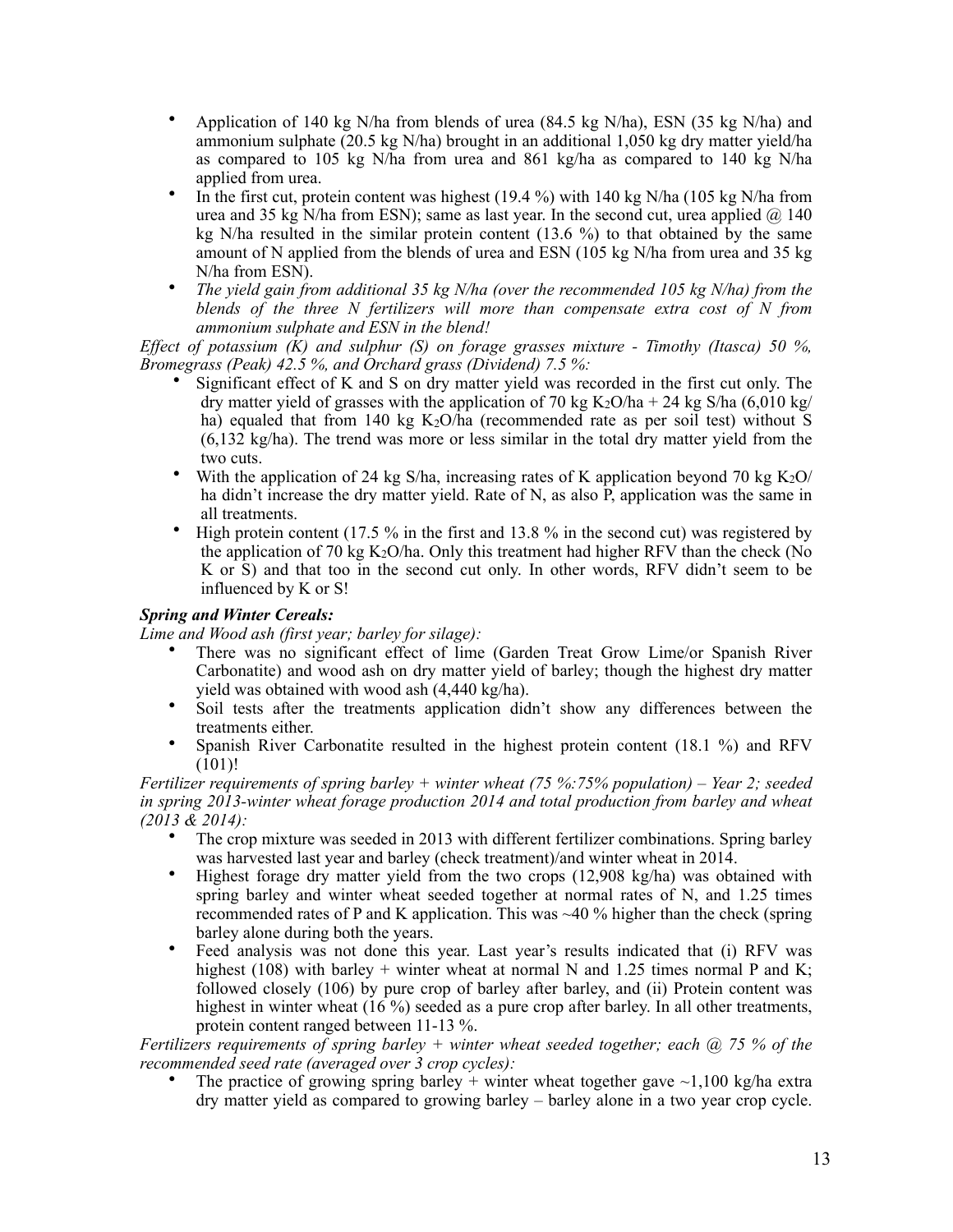- Application of 140 kg N/ha from blends of urea (84.5 kg N/ha), ESN (35 kg N/ha) and ammonium sulphate (20.5 kg N/ha) brought in an additional 1,050 kg dry matter yield/ha as compared to 105 kg N/ha from urea and 861 kg/ha as compared to 140 kg N/ha applied from urea.
- In the first cut, protein content was highest (19.4 %) with 140 kg N/ha (105 kg N/ha from urea and 35 kg N/ha from ESN); same as last year. In the second cut, urea applied  $\omega$  140 kg N/ha resulted in the similar protein content (13.6 %) to that obtained by the same amount of N applied from the blends of urea and ESN (105 kg N/ha from urea and 35 kg N/ha from ESN).
- *The yield gain from additional 35 kg N/ha (over the recommended 105 kg N/ha) from the blends of the three N fertilizers will more than compensate extra cost of N from ammonium sulphate and ESN in the blend!*

*Effect of potassium (K) and sulphur (S) on forage grasses mixture - Timothy (Itasca) 50 %, Bromegrass (Peak) 42.5 %, and Orchard grass (Dividend) 7.5 %:*

- Significant effect of K and S on dry matter yield was recorded in the first cut only. The dry matter yield of grasses with the application of 70 kg K<sub>2</sub>O/ha + 24 kg S/ha (6,010 kg/) ha) equaled that from 140 kg  $K_2O/ha$  (recommended rate as per soil test) without S (6,132 kg/ha). The trend was more or less similar in the total dry matter yield from the two cuts.
- With the application of 24 kg S/ha, increasing rates of K application beyond 70 kg  $K_2O/$ ha didn't increase the dry matter yield. Rate of N, as also P, application was the same in all treatments.
- High protein content (17.5 % in the first and 13.8 % in the second cut) was registered by the application of 70 kg  $K_2O/ha$ . Only this treatment had higher RFV than the check (No K or S) and that too in the second cut only. In other words, RFV didn't seem to be influenced by K or S!

### *Spring and Winter Cereals:*

*Lime and Wood ash (first year; barley for silage):* 

- There was no significant effect of lime (Garden Treat Grow Lime/or Spanish River Carbonatite) and wood ash on dry matter yield of barley; though the highest dry matter yield was obtained with wood ash (4,440 kg/ha).
- Soil tests after the treatments application didn't show any differences between the treatments either.
- Spanish River Carbonatite resulted in the highest protein content (18.1 %) and RFV (101)!

*Fertilizer requirements of spring barley + winter wheat (75 %:75% population) – Year 2; seeded in spring 2013-winter wheat forage production 2014 and total production from barley and wheat (2013 & 2014):*

- The crop mixture was seeded in 2013 with different fertilizer combinations. Spring barley was harvested last year and barley (check treatment)/and winter wheat in 2014.
- Highest forage dry matter yield from the two crops (12,908 kg/ha) was obtained with spring barley and winter wheat seeded together at normal rates of N, and 1.25 times recommended rates of P and K application. This was  $\sim$  40 % higher than the check (spring barley alone during both the years.
- Feed analysis was not done this year. Last year's results indicated that (i) RFV was highest (108) with barley + winter wheat at normal N and 1.25 times normal P and K; followed closely (106) by pure crop of barley after barley, and (ii) Protein content was highest in winter wheat (16 %) seeded as a pure crop after barley. In all other treatments, protein content ranged between 11-13 %.

*Fertilizers requirements of spring barley + winter wheat seeded together; each @ 75 % of the recommended seed rate (averaged over 3 crop cycles):*

The practice of growing spring barley + winter wheat together gave  $\sim$ 1,100 kg/ha extra dry matter yield as compared to growing barley – barley alone in a two year crop cycle.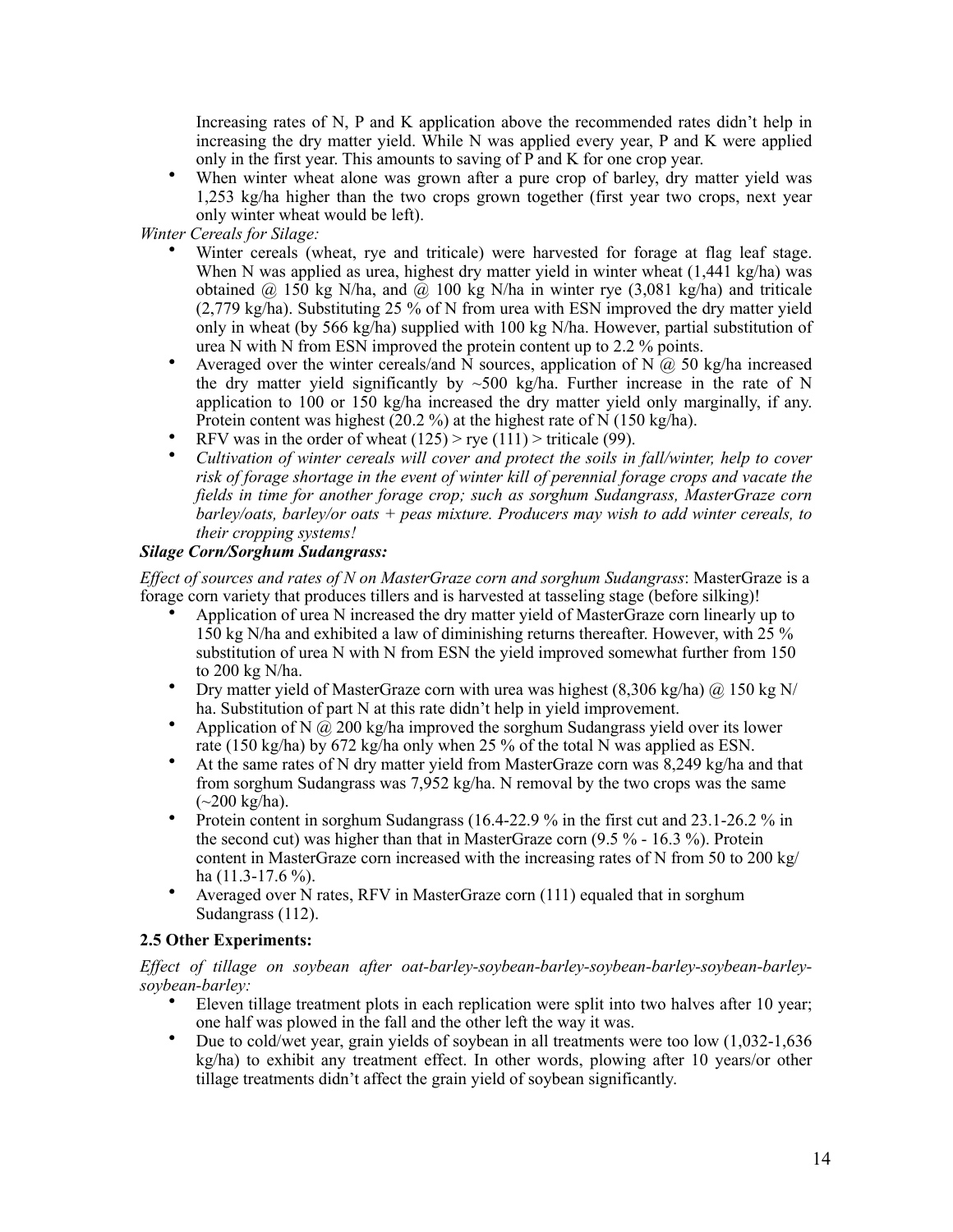Increasing rates of N, P and K application above the recommended rates didn't help in increasing the dry matter yield. While N was applied every year, P and K were applied only in the first year. This amounts to saving of P and K for one crop year.

• When winter wheat alone was grown after a pure crop of barley, dry matter yield was 1,253 kg/ha higher than the two crops grown together (first year two crops, next year only winter wheat would be left).

*Winter Cereals for Silage:*

- Winter cereals (wheat, rye and triticale) were harvested for forage at flag leaf stage. When N was applied as urea, highest dry matter yield in winter wheat (1,441 kg/ha) was obtained  $\omega$  150 kg N/ha, and  $\omega$  100 kg N/ha in winter rye (3,081 kg/ha) and triticale (2,779 kg/ha). Substituting 25 % of N from urea with ESN improved the dry matter yield only in wheat (by 566 kg/ha) supplied with 100 kg N/ha. However, partial substitution of urea N with N from ESN improved the protein content up to 2.2 % points.
- Averaged over the winter cereals/and  $\hat{N}$  sources, application of  $N(\hat{a})$  50 kg/ha increased the dry matter yield significantly by  $\sim$ 500 kg/ha. Further increase in the rate of N application to 100 or 150 kg/ha increased the dry matter yield only marginally, if any. Protein content was highest  $(20.2 \%)$  at the highest rate of N  $(150 \text{ kg/ha})$ .
- RFV was in the order of wheat  $(125)$  > rye  $(111)$  > triticale (99).
- *Cultivation of winter cereals will cover and protect the soils in fall/winter, help to cover risk of forage shortage in the event of winter kill of perennial forage crops and vacate the fields in time for another forage crop; such as sorghum Sudangrass, MasterGraze corn barley/oats, barley/or oats + peas mixture. Producers may wish to add winter cereals, to their cropping systems!*

## *Silage Corn/Sorghum Sudangrass:*

*Effect of sources and rates of N on MasterGraze corn and sorghum Sudangrass*: MasterGraze is a forage corn variety that produces tillers and is harvested at tasseling stage (before silking)!

- Application of urea N increased the dry matter yield of MasterGraze corn linearly up to 150 kg N/ha and exhibited a law of diminishing returns thereafter. However, with 25 % substitution of urea N with N from ESN the yield improved somewhat further from 150 to 200 kg N/ha.
- Dry matter yield of MasterGraze corn with urea was highest  $(8,306 \text{ kg/ha})$   $\omega$  150 kg N/ ha. Substitution of part N at this rate didn't help in yield improvement.
- Application of N  $\omega$  200 kg/ha improved the sorghum Sudangrass yield over its lower rate (150 kg/ha) by 672 kg/ha only when 25 % of the total N was applied as ESN.
- At the same rates of N dry matter yield from MasterGraze corn was 8,249 kg/ha and that from sorghum Sudangrass was 7,952 kg/ha. N removal by the two crops was the same  $(-200 \text{ kg/ha}).$
- Protein content in sorghum Sudangrass (16.4-22.9 % in the first cut and 23.1-26.2 % in the second cut) was higher than that in MasterGraze corn (9.5 % - 16.3 %). Protein content in MasterGraze corn increased with the increasing rates of N from 50 to 200 kg/ ha  $(11.3-17.6\%)$ .
- Averaged over N rates, RFV in MasterGraze corn (111) equaled that in sorghum Sudangrass (112).

## **2.5 Other Experiments:**

*Effect of tillage on soybean after oat-barley-soybean-barley-soybean-barley-soybean-barleysoybean-barley:*

- Eleven tillage treatment plots in each replication were split into two halves after 10 year; one half was plowed in the fall and the other left the way it was.
- Due to cold/wet year, grain yields of soybean in all treatments were too low  $(1.032-1.636$ kg/ha) to exhibit any treatment effect. In other words, plowing after 10 years/or other tillage treatments didn't affect the grain yield of soybean significantly.